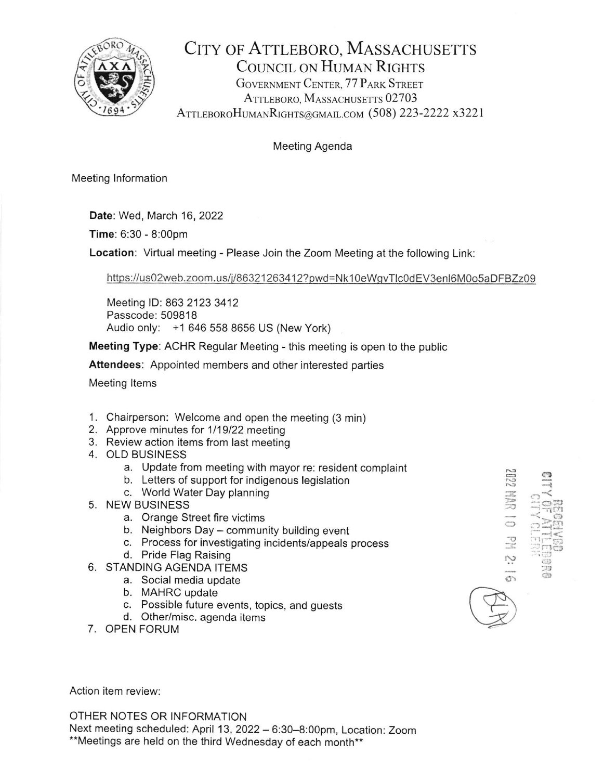

CITY OF ATTLEBORO, MASSACHUSETTS COUNCIL ON HUMAN RIGHTS GOVERNMENT CENTER, 77 PARK STREET ATTLEBORO, MASSACHUSETTS 02703 ATTLEBOROHUMANRIGHTS@GMAIL.COM (508) 223-2222 x3221

## Meeting Agenda

Meeting lnformation

Date: Wed, March 16,2022

Time: 6:30 - 8:00pm

Location: Virtual meeting - Please Join the Zoom Meeting at the following Link:

https://us02web.zoom.us/j/86321263412?pwd=Nk10eWgvTlc0dEV3enl6M0o5aDFBZz09

 $\approx$  $\bigcirc$ 'o  $\heartsuit$ 

 $\frac{1}{10}$  $\frac{1}{2}$ 

 $\ni$  P.H.

N)

 $\mathbb{R}$ 

Meeting lD: 863 2123 3412 Passcode: 509818 Audio only: +1 646 558 8656 US (New York)

Meeting Type: ACHR Regular Meeting - this meeting is open to the public

Attendees: Appointed members and other interested parties

Meeting ltems

- 1. Chairperson: Welcome and open the meeting (3 min)
- 2. Approve minutes for 1119122 meeting
- 3. Review action items from last meeting
- 4. OLD BUSINESS
	- a. Update from meeting with mayor re: resident complaint
	- b. Letters of support for indigenous legislation
	- c. World Water Day planning
- 5. NEW BUSINESS
	- a. Orange Street fire victims
	- b. Neighbors Day community building event
	- c. Process for investigating incidents/appeals process
	- d. Pride Flag Raising
- 6. STANDING AGENDA ITEMS
	- a. Social media update
	- b. MAHRC update
	- c. Possible future events, topics, and guests
	- d. Other/misc. agenda items
- 7. OPEN FORUh/

Action item review:

OTHER NOTES OR INFORMATION Next meeting scheduled: April 13, 2022 - 6:30-8:00pm, Location: Zoom .\*\* Meetings are held on the third Wednesday of each month\*\*